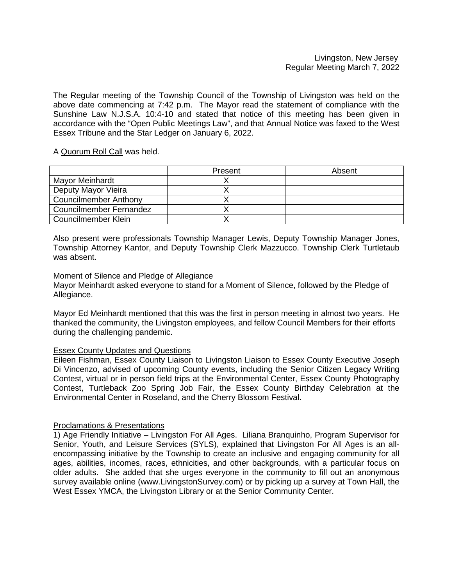## Livingston, New Jersey Regular Meeting March 7, 2022

The Regular meeting of the Township Council of the Township of Livingston was held on the above date commencing at 7:42 p.m. The Mayor read the statement of compliance with the Sunshine Law N.J.S.A. 10:4-10 and stated that notice of this meeting has been given in accordance with the "Open Public Meetings Law", and that Annual Notice was faxed to the West Essex Tribune and the Star Ledger on January 6, 2022.

## A Quorum Roll Call was held.

|                         | Present | Absent |
|-------------------------|---------|--------|
| Mayor Meinhardt         |         |        |
| Deputy Mayor Vieira     |         |        |
| Councilmember Anthony   |         |        |
| Councilmember Fernandez |         |        |
| Councilmember Klein     |         |        |

Also present were professionals Township Manager Lewis, Deputy Township Manager Jones, Township Attorney Kantor, and Deputy Township Clerk Mazzucco. Township Clerk Turtletaub was absent.

### Moment of Silence and Pledge of Allegiance

Mayor Meinhardt asked everyone to stand for a Moment of Silence, followed by the Pledge of Allegiance.

Mayor Ed Meinhardt mentioned that this was the first in person meeting in almost two years. He thanked the community, the Livingston employees, and fellow Council Members for their efforts during the challenging pandemic.

## Essex County Updates and Questions

Eileen Fishman, Essex County Liaison to Livingston Liaison to Essex County Executive Joseph Di Vincenzo, advised of upcoming County events, including the Senior Citizen Legacy Writing Contest, virtual or in person field trips at the Environmental Center, Essex County Photography Contest, Turtleback Zoo Spring Job Fair, the Essex County Birthday Celebration at the Environmental Center in Roseland, and the Cherry Blossom Festival.

## Proclamations & Presentations

1) Age Friendly Initiative – Livingston For All Ages. Liliana Branquinho, Program Supervisor for Senior, Youth, and Leisure Services (SYLS), explained that Livingston For All Ages is an allencompassing initiative by the Township to create an inclusive and engaging community for all ages, abilities, incomes, races, ethnicities, and other backgrounds, with a particular focus on older adults. She added that she urges everyone in the community to fill out an anonymous survey available online (www.LivingstonSurvey.com) or by picking up a survey at Town Hall, the West Essex YMCA, the Livingston Library or at the Senior Community Center.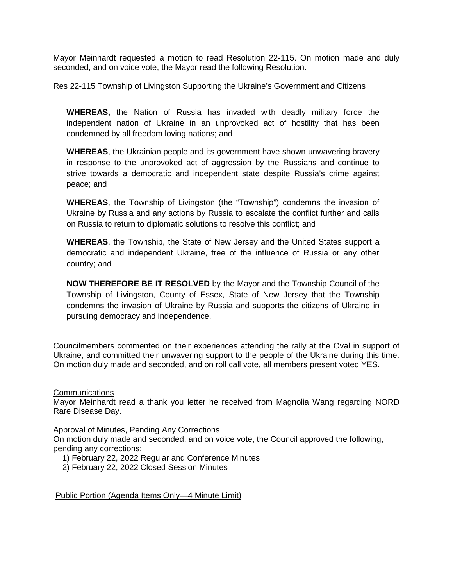Mayor Meinhardt requested a motion to read Resolution 22-115. On motion made and duly seconded, and on voice vote, the Mayor read the following Resolution.

## Res 22-115 Township of Livingston Supporting the Ukraine's Government and Citizens

**WHEREAS,** the Nation of Russia has invaded with deadly military force the independent nation of Ukraine in an unprovoked act of hostility that has been condemned by all freedom loving nations; and

**WHEREAS**, the Ukrainian people and its government have shown unwavering bravery in response to the unprovoked act of aggression by the Russians and continue to strive towards a democratic and independent state despite Russia's crime against peace; and

**WHEREAS**, the Township of Livingston (the "Township") condemns the invasion of Ukraine by Russia and any actions by Russia to escalate the conflict further and calls on Russia to return to diplomatic solutions to resolve this conflict; and

**WHEREAS**, the Township, the State of New Jersey and the United States support a democratic and independent Ukraine, free of the influence of Russia or any other country; and

**NOW THEREFORE BE IT RESOLVED** by the Mayor and the Township Council of the Township of Livingston, County of Essex, State of New Jersey that the Township condemns the invasion of Ukraine by Russia and supports the citizens of Ukraine in pursuing democracy and independence.

Councilmembers commented on their experiences attending the rally at the Oval in support of Ukraine, and committed their unwavering support to the people of the Ukraine during this time. On motion duly made and seconded, and on roll call vote, all members present voted YES.

Communications

Mayor Meinhardt read a thank you letter he received from Magnolia Wang regarding NORD Rare Disease Day.

Approval of Minutes, Pending Any Corrections

On motion duly made and seconded, and on voice vote, the Council approved the following, pending any corrections:

- 1) February 22, 2022 Regular and Conference Minutes
- 2) February 22, 2022 Closed Session Minutes

Public Portion (Agenda Items Only—4 Minute Limit)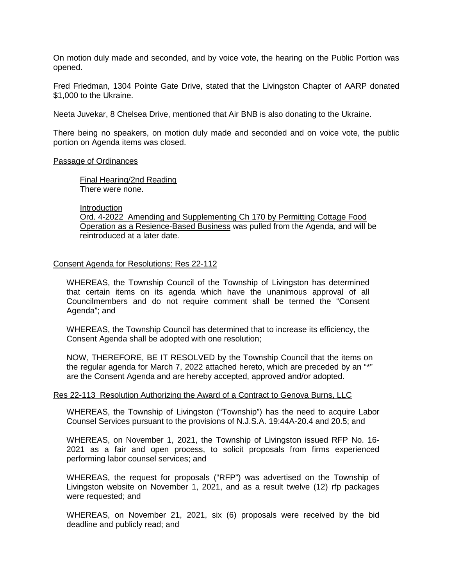On motion duly made and seconded, and by voice vote, the hearing on the Public Portion was opened.

Fred Friedman, 1304 Pointe Gate Drive, stated that the Livingston Chapter of AARP donated \$1,000 to the Ukraine.

Neeta Juvekar, 8 Chelsea Drive, mentioned that Air BNB is also donating to the Ukraine.

There being no speakers, on motion duly made and seconded and on voice vote, the public portion on Agenda items was closed.

#### Passage of Ordinances

Final Hearing/2nd Reading There were none.

Introduction

Ord. 4-2022 Amending and Supplementing Ch 170 by Permitting Cottage Food Operation as a Resience-Based Business was pulled from the Agenda, and will be reintroduced at a later date.

### Consent Agenda for Resolutions: Res 22-112

WHEREAS, the Township Council of the Township of Livingston has determined that certain items on its agenda which have the unanimous approval of all Councilmembers and do not require comment shall be termed the "Consent Agenda"; and

WHEREAS, the Township Council has determined that to increase its efficiency, the Consent Agenda shall be adopted with one resolution;

NOW, THEREFORE, BE IT RESOLVED by the Township Council that the items on the regular agenda for March 7, 2022 attached hereto, which are preceded by an "\*" are the Consent Agenda and are hereby accepted, approved and/or adopted.

#### Res 22-113 Resolution Authorizing the Award of a Contract to Genova Burns, LLC

WHEREAS, the Township of Livingston ("Township") has the need to acquire Labor Counsel Services pursuant to the provisions of N.J.S.A. 19:44A-20.4 and 20.5; and

WHEREAS, on November 1, 2021, the Township of Livingston issued RFP No. 16- 2021 as a fair and open process, to solicit proposals from firms experienced performing labor counsel services; and

WHEREAS, the request for proposals ("RFP") was advertised on the Township of Livingston website on November 1, 2021, and as a result twelve (12) rfp packages were requested; and

WHEREAS, on November 21, 2021, six (6) proposals were received by the bid deadline and publicly read; and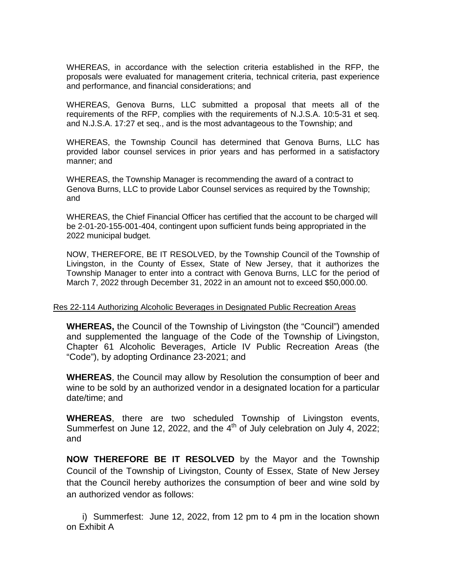WHEREAS, in accordance with the selection criteria established in the RFP, the proposals were evaluated for management criteria, technical criteria, past experience and performance, and financial considerations; and

WHEREAS, Genova Burns, LLC submitted a proposal that meets all of the requirements of the RFP, complies with the requirements of N.J.S.A. 10:5-31 et seq. and N.J.S.A. 17:27 et seq., and is the most advantageous to the Township; and

WHEREAS, the Township Council has determined that Genova Burns, LLC has provided labor counsel services in prior years and has performed in a satisfactory manner; and

WHEREAS, the Township Manager is recommending the award of a contract to Genova Burns, LLC to provide Labor Counsel services as required by the Township; and

WHEREAS, the Chief Financial Officer has certified that the account to be charged will be 2-01-20-155-001-404, contingent upon sufficient funds being appropriated in the 2022 municipal budget.

NOW, THEREFORE, BE IT RESOLVED, by the Township Council of the Township of Livingston, in the County of Essex, State of New Jersey, that it authorizes the Township Manager to enter into a contract with Genova Burns, LLC for the period of March 7, 2022 through December 31, 2022 in an amount not to exceed \$50,000.00.

## Res 22-114 Authorizing Alcoholic Beverages in Designated Public Recreation Areas

**WHEREAS,** the Council of the Township of Livingston (the "Council") amended and supplemented the language of the Code of the Township of Livingston, Chapter 61 Alcoholic Beverages, Article IV Public Recreation Areas (the "Code"), by adopting Ordinance 23-2021; and

**WHEREAS**, the Council may allow by Resolution the consumption of beer and wine to be sold by an authorized vendor in a designated location for a particular date/time; and

**WHEREAS**, there are two scheduled Township of Livingston events, Summerfest on June 12, 2022, and the  $4<sup>th</sup>$  of July celebration on July 4, 2022; and

**NOW THEREFORE BE IT RESOLVED** by the Mayor and the Township Council of the Township of Livingston, County of Essex, State of New Jersey that the Council hereby authorizes the consumption of beer and wine sold by an authorized vendor as follows:

i) Summerfest: June 12, 2022, from 12 pm to 4 pm in the location shown on Exhibit A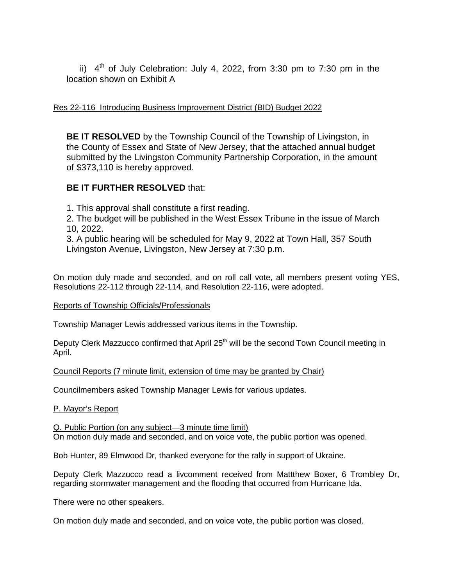ii)  $4<sup>th</sup>$  of July Celebration: July 4, 2022, from 3:30 pm to 7:30 pm in the location shown on Exhibit A

# Res 22-116 Introducing Business Improvement District (BID) Budget 2022

**BE IT RESOLVED** by the Township Council of the Township of Livingston, in the County of Essex and State of New Jersey, that the attached annual budget submitted by the Livingston Community Partnership Corporation, in the amount of \$373,110 is hereby approved.

# **BE IT FURTHER RESOLVED** that:

1. This approval shall constitute a first reading.

2. The budget will be published in the West Essex Tribune in the issue of March 10, 2022.

3. A public hearing will be scheduled for May 9, 2022 at Town Hall, 357 South Livingston Avenue, Livingston, New Jersey at 7:30 p.m.

On motion duly made and seconded, and on roll call vote, all members present voting YES, Resolutions 22-112 through 22-114, and Resolution 22-116, were adopted.

## Reports of Township Officials/Professionals

Township Manager Lewis addressed various items in the Township.

Deputy Clerk Mazzucco confirmed that April 25<sup>th</sup> will be the second Town Council meeting in April.

Council Reports (7 minute limit, extension of time may be granted by Chair)

Councilmembers asked Township Manager Lewis for various updates.

## P. Mayor's Report

Q. Public Portion (on any subject—3 minute time limit) On motion duly made and seconded, and on voice vote, the public portion was opened.

Bob Hunter, 89 Elmwood Dr, thanked everyone for the rally in support of Ukraine.

Deputy Clerk Mazzucco read a livcomment received from Mattthew Boxer, 6 Trombley Dr, regarding stormwater management and the flooding that occurred from Hurricane Ida.

There were no other speakers.

On motion duly made and seconded, and on voice vote, the public portion was closed.